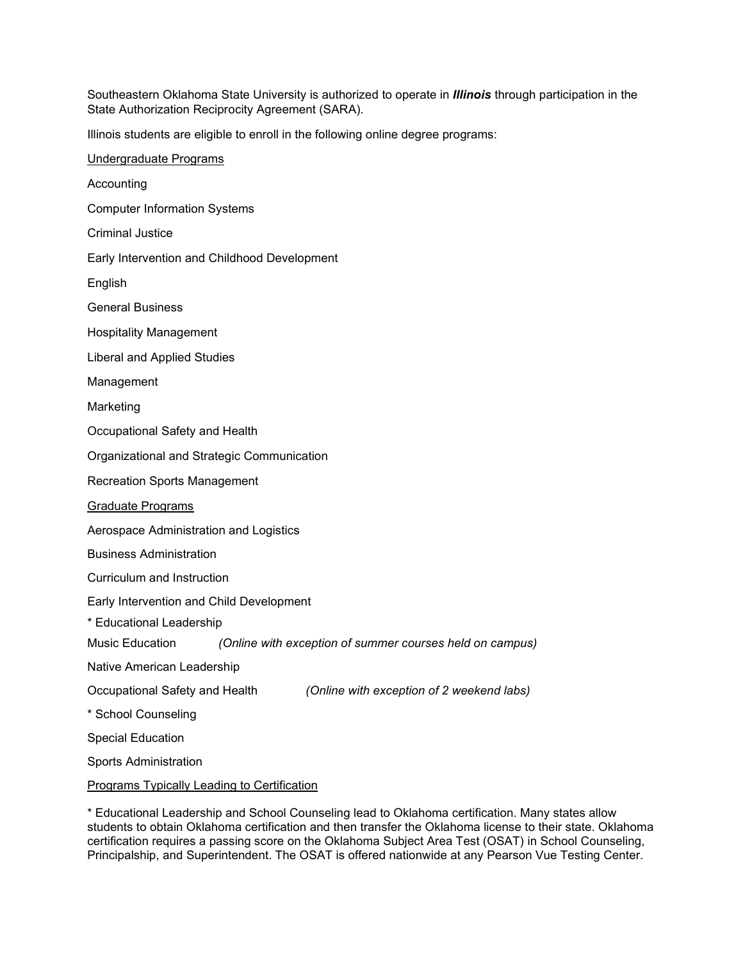Southeastern Oklahoma State University is authorized to operate in *Illinois* through participation in the State Authorization Reciprocity Agreement (SARA).

Illinois students are eligible to enroll in the following online degree programs:

\* Educational Leadership and School Counseling lead to Oklahoma certification. Many states allow students to obtain Oklahoma certification and then transfer the Oklahoma license to their state. Oklahoma certification requires a passing score on the Oklahoma Subject Area Test (OSAT) in School Counseling, Principalship, and Superintendent. The OSAT is offered nationwide at any Pearson Vue Testing Center.